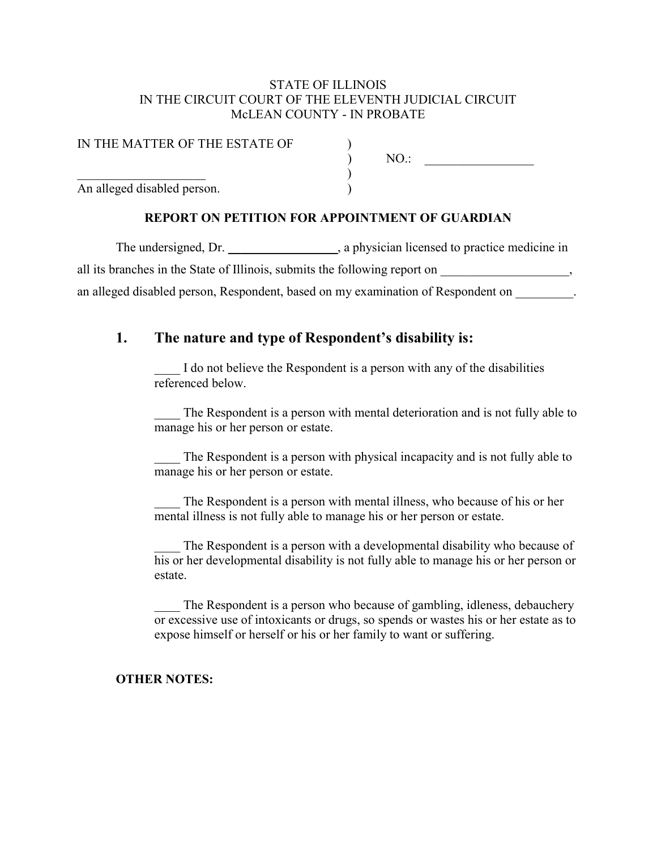#### STATE OF ILLINOIS IN THE CIRCUIT COURT OF THE ELEVENTH JUDICIAL CIRCUIT McLEAN COUNTY - IN PROBATE

| IN THE MATTER OF THE ESTATE OF |  |  |
|--------------------------------|--|--|
|                                |  |  |
|                                |  |  |
| An alleged disabled person.    |  |  |

### REPORT ON PETITION FOR APPOINTMENT OF GUARDIAN

The undersigned, Dr. \_\_\_\_\_\_\_\_\_\_\_\_\_\_\_\_, a physician licensed to practice medicine in all its branches in the State of Illinois, submits the following report on  $\,$ , an alleged disabled person, Respondent, based on my examination of Respondent on  $\blacksquare$ 

### 1. The nature and type of Respondent's disability is:

I do not believe the Respondent is a person with any of the disabilities referenced below.

The Respondent is a person with mental deterioration and is not fully able to manage his or her person or estate.

The Respondent is a person with physical incapacity and is not fully able to manage his or her person or estate.

The Respondent is a person with mental illness, who because of his or her mental illness is not fully able to manage his or her person or estate.

The Respondent is a person with a developmental disability who because of his or her developmental disability is not fully able to manage his or her person or estate.

The Respondent is a person who because of gambling, idleness, debauchery or excessive use of intoxicants or drugs, so spends or wastes his or her estate as to expose himself or herself or his or her family to want or suffering.

### OTHER NOTES: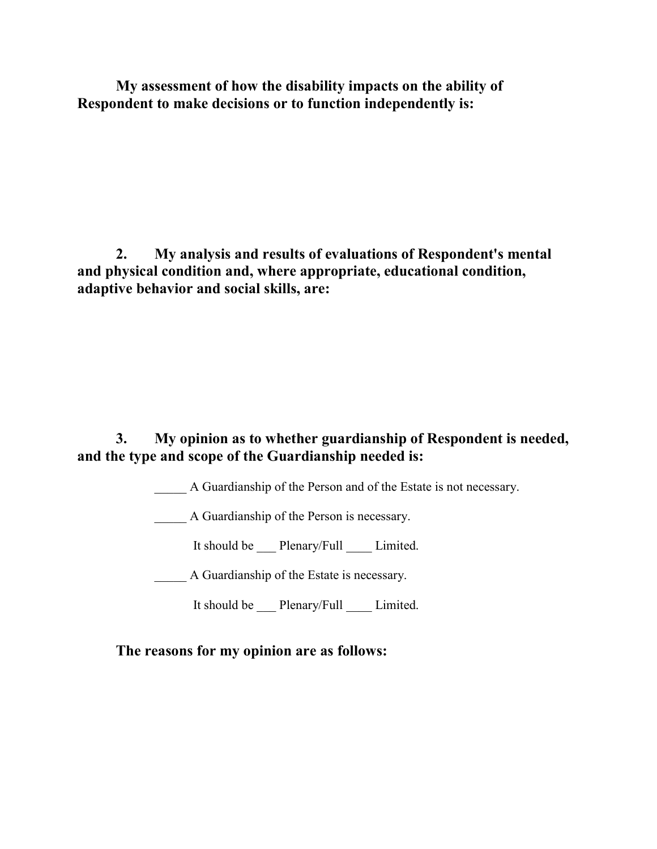My assessment of how the disability impacts on the ability of Respondent to make decisions or to function independently is:

 2. My analysis and results of evaluations of Respondent's mental and physical condition and, where appropriate, educational condition, adaptive behavior and social skills, are:

## 3. My opinion as to whether guardianship of Respondent is needed, and the type and scope of the Guardianship needed is:

A Guardianship of the Person and of the Estate is not necessary.

\_\_\_\_\_ A Guardianship of the Person is necessary.

It should be Plenary/Full Limited.

A Guardianship of the Estate is necessary.

It should be \_\_\_ Plenary/Full \_\_\_\_ Limited.

The reasons for my opinion are as follows: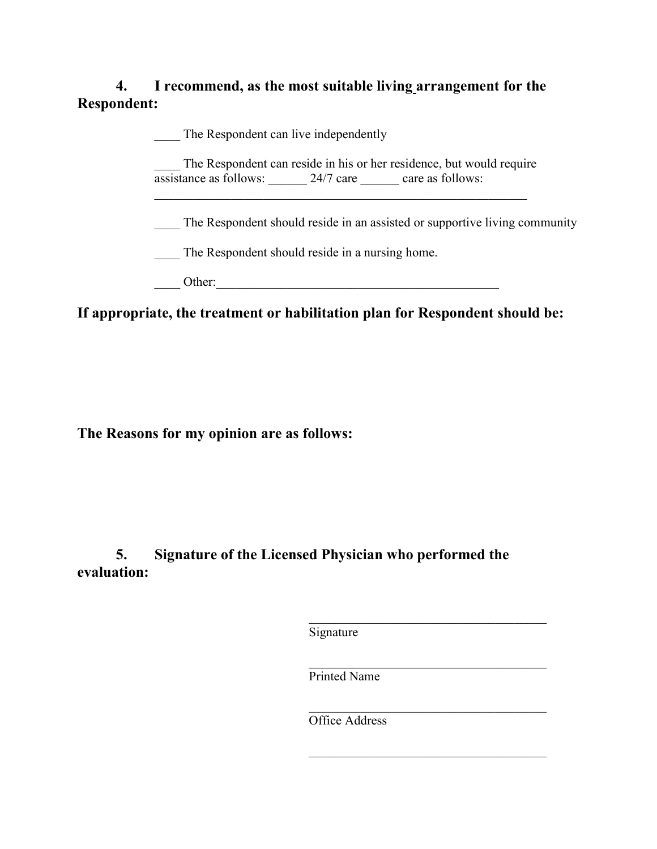# 4. I recommend, as the most suitable living arrangement for the Respondent:

The Respondent can live independently The Respondent can reside in his or her residence, but would require assistance as follows: 24/7 care care as follows:  $\mathcal{L}_\text{max}$  and  $\mathcal{L}_\text{max}$  and  $\mathcal{L}_\text{max}$  and  $\mathcal{L}_\text{max}$  and  $\mathcal{L}_\text{max}$ The Respondent should reside in an assisted or supportive living community \_\_\_\_ The Respondent should reside in a nursing home. Other:

If appropriate, the treatment or habilitation plan for Respondent should be:

The Reasons for my opinion are as follows:

5. Signature of the Licensed Physician who performed the evaluation:

**Signature** 

Printed Name

Office Address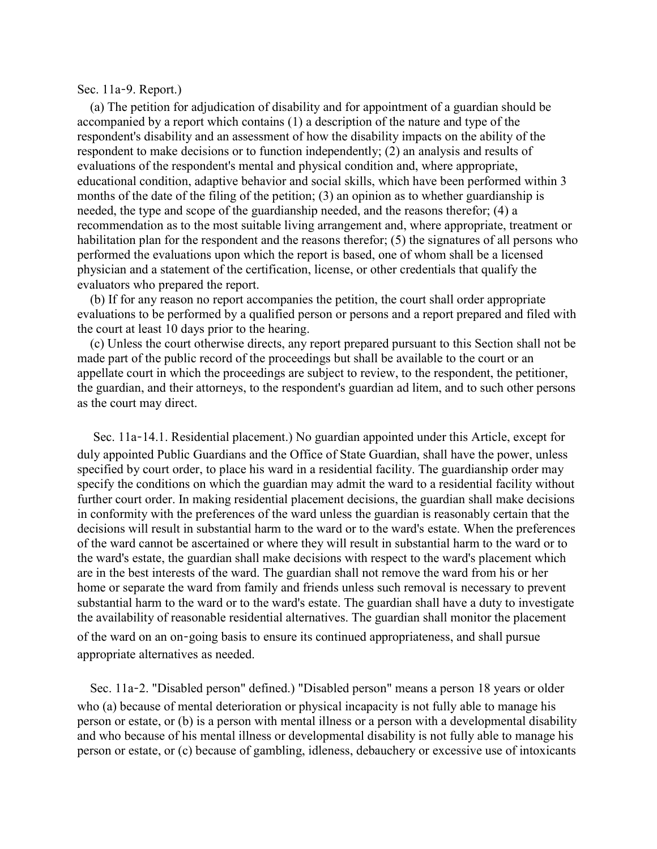#### Sec. 11a‑9. Report.)

 (a) The petition for adjudication of disability and for appointment of a guardian should be accompanied by a report which contains (1) a description of the nature and type of the respondent's disability and an assessment of how the disability impacts on the ability of the respondent to make decisions or to function independently; (2) an analysis and results of evaluations of the respondent's mental and physical condition and, where appropriate, educational condition, adaptive behavior and social skills, which have been performed within 3 months of the date of the filing of the petition; (3) an opinion as to whether guardianship is needed, the type and scope of the guardianship needed, and the reasons therefor; (4) a recommendation as to the most suitable living arrangement and, where appropriate, treatment or habilitation plan for the respondent and the reasons therefor; (5) the signatures of all persons who performed the evaluations upon which the report is based, one of whom shall be a licensed physician and a statement of the certification, license, or other credentials that qualify the evaluators who prepared the report.

 (b) If for any reason no report accompanies the petition, the court shall order appropriate evaluations to be performed by a qualified person or persons and a report prepared and filed with the court at least 10 days prior to the hearing.

 (c) Unless the court otherwise directs, any report prepared pursuant to this Section shall not be made part of the public record of the proceedings but shall be available to the court or an appellate court in which the proceedings are subject to review, to the respondent, the petitioner, the guardian, and their attorneys, to the respondent's guardian ad litem, and to such other persons as the court may direct.

Sec. 11a–14.1. Residential placement.) No guardian appointed under this Article, except for duly appointed Public Guardians and the Office of State Guardian, shall have the power, unless specified by court order, to place his ward in a residential facility. The guardianship order may specify the conditions on which the guardian may admit the ward to a residential facility without further court order. In making residential placement decisions, the guardian shall make decisions in conformity with the preferences of the ward unless the guardian is reasonably certain that the decisions will result in substantial harm to the ward or to the ward's estate. When the preferences of the ward cannot be ascertained or where they will result in substantial harm to the ward or to the ward's estate, the guardian shall make decisions with respect to the ward's placement which are in the best interests of the ward. The guardian shall not remove the ward from his or her home or separate the ward from family and friends unless such removal is necessary to prevent substantial harm to the ward or to the ward's estate. The guardian shall have a duty to investigate the availability of reasonable residential alternatives. The guardian shall monitor the placement

of the ward on an on‑going basis to ensure its continued appropriateness, and shall pursue appropriate alternatives as needed.

Sec. 11a-2. "Disabled person" defined.) "Disabled person" means a person 18 years or older who (a) because of mental deterioration or physical incapacity is not fully able to manage his person or estate, or (b) is a person with mental illness or a person with a developmental disability and who because of his mental illness or developmental disability is not fully able to manage his person or estate, or (c) because of gambling, idleness, debauchery or excessive use of intoxicants